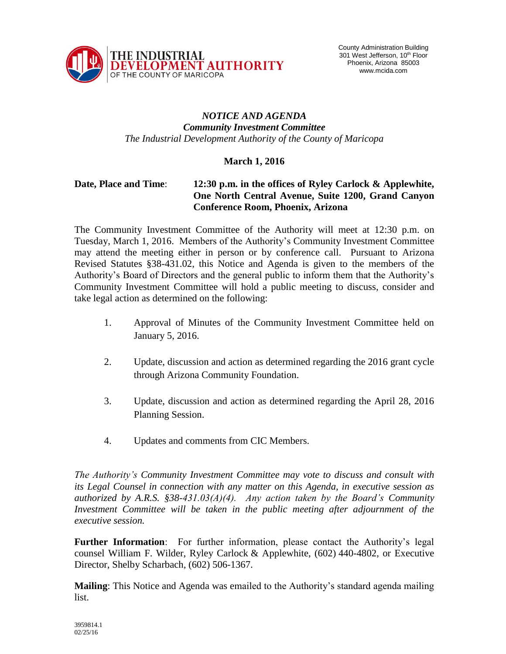

## *NOTICE AND AGENDA Community Investment Committee The Industrial Development Authority of the County of Maricopa*

## **March 1, 2016**

## **Date, Place and Time**: **12:30 p.m. in the offices of Ryley Carlock & Applewhite, One North Central Avenue, Suite 1200, Grand Canyon Conference Room, Phoenix, Arizona**

The Community Investment Committee of the Authority will meet at 12:30 p.m. on Tuesday, March 1, 2016. Members of the Authority's Community Investment Committee may attend the meeting either in person or by conference call. Pursuant to Arizona Revised Statutes §38-431.02, this Notice and Agenda is given to the members of the Authority's Board of Directors and the general public to inform them that the Authority's Community Investment Committee will hold a public meeting to discuss, consider and take legal action as determined on the following:

- 1. Approval of Minutes of the Community Investment Committee held on January 5, 2016.
- 2. Update, discussion and action as determined regarding the 2016 grant cycle through Arizona Community Foundation.
- 3. Update, discussion and action as determined regarding the April 28, 2016 Planning Session.
- 4. Updates and comments from CIC Members.

*The Authority's Community Investment Committee may vote to discuss and consult with its Legal Counsel in connection with any matter on this Agenda, in executive session as authorized by A.R.S. §38-431.03(A)(4). Any action taken by the Board's Community Investment Committee will be taken in the public meeting after adjournment of the executive session.*

**Further Information**: For further information, please contact the Authority's legal counsel William F. Wilder, Ryley Carlock & Applewhite, (602) 440-4802, or Executive Director, Shelby Scharbach, (602) 506-1367.

**Mailing**: This Notice and Agenda was emailed to the Authority's standard agenda mailing list.